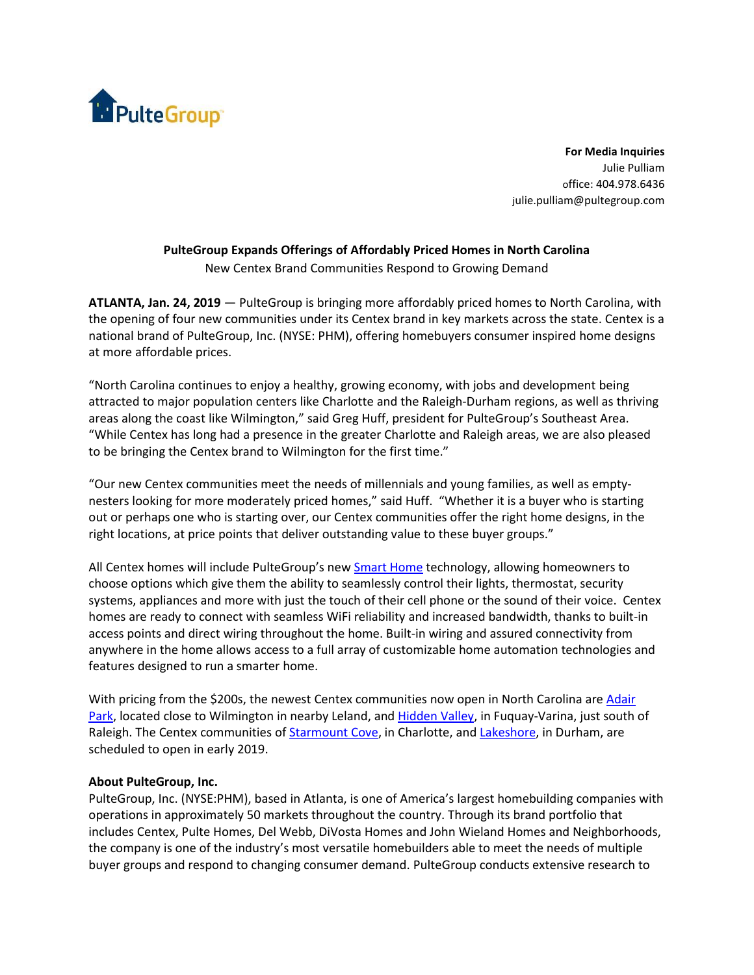

**For Media Inquiries** Julie Pulliam office: 404.978.6436 julie.pulliam@pultegroup.com

## **PulteGroup Expands Offerings of Affordably Priced Homes in North Carolina** New Centex Brand Communities Respond to Growing Demand

**ATLANTA, Jan. 24, 2019** — PulteGroup is bringing more affordably priced homes to North Carolina, with the opening of four new communities under its Centex brand in key markets across the state. Centex is a national brand of PulteGroup, Inc. (NYSE: PHM), offering homebuyers consumer inspired home designs at more affordable prices.

"North Carolina continues to enjoy a healthy, growing economy, with jobs and development being attracted to major population centers like Charlotte and the Raleigh-Durham regions, as well as thriving areas along the coast like Wilmington," said Greg Huff, president for PulteGroup's Southeast Area. "While Centex has long had a presence in the greater Charlotte and Raleigh areas, we are also pleased to be bringing the Centex brand to Wilmington for the first time."

"Our new Centex communities meet the needs of millennials and young families, as well as emptynesters looking for more moderately priced homes," said Huff. "Whether it is a buyer who is starting out or perhaps one who is starting over, our Centex communities offer the right home designs, in the right locations, at price points that deliver outstanding value to these buyer groups."

All Centex homes will include PulteGroup's new **Smart [Home](https://www.pulte.com/pulte-smart-home) technology**, allowing homeowners to choose options which give them the ability to seamlessly control their lights, thermostat, security systems, appliances and more with just the touch of their cell phone or the sound of their voice. Centex homes are ready to connect with seamless WiFi reliability and increased bandwidth, thanks to built-in access points and direct wiring throughout the home. Built-in wiring and assured connectivity from anywhere in the home allows access to a full array of customizable home automation technologies and features designed to run a smarter home.

With pricing from the \$200s, the newest Centex communities now open in North Carolina are [Adair](https://www.centex.com/homes/north-carolina/wilmington/leland/adair-park-210113) [Park,](https://www.centex.com/homes/north-carolina/wilmington/leland/adair-park-210113) located close to Wilmington in nearby Leland, and [Hidden](https://www.centex.com/homes/north-carolina/the-raleigh-area/fuquay-varina/hidden-valley-210133) Valley, in Fuquay-Varina, just south of Raleigh. The Centex communities of [Starmount](https://www.centex.com/homes/north-carolina/the-charlotte-area/charlotte/starmount-cove-210039) Cove, in Charlotte, and [Lakeshore,](https://www.centex.com/homes/north-carolina/the-raleigh-area/durham/lakeshore-210151) in Durham, are scheduled to open in early 2019.

## **About PulteGroup, Inc.**

PulteGroup, Inc. (NYSE:PHM), based in Atlanta, is one of America's largest homebuilding companies with operations in approximately 50 markets throughout the country. Through its brand portfolio that includes Centex, Pulte Homes, Del Webb, DiVosta Homes and John Wieland Homes and Neighborhoods, the company is one of the industry's most versatile homebuilders able to meet the needs of multiple buyer groups and respond to changing consumer demand. PulteGroup conducts extensive research to